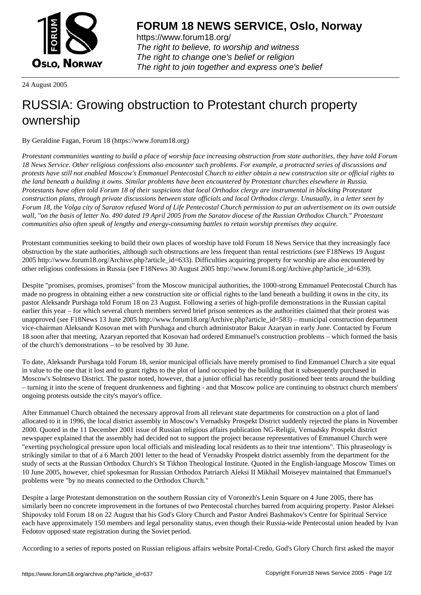

https://www.forum18.org/ The right to believe, to worship and witness The right to change one's belief or religion [The right to join together a](https://www.forum18.org/)nd express one's belief

24 August 2005

## [RUSSIA: Growi](https://www.forum18.org)ng obstruction to Protestant church property ownership

By Geraldine Fagan, Forum 18 (https://www.forum18.org)

*Protestant communities wanting to build a place of worship face increasing obstruction from state authorities, they have told Forum 18 News Service. Other religious confessions also encounter such problems. For example, a protracted series of discussions and protests have still not enabled Moscow's Emmanuel Pentecostal Church to either obtain a new construction site or official rights to the land beneath a building it owns. Similar problems have been encountered by Protestant churches elsewhere in Russia. Protestants have often told Forum 18 of their suspicions that local Orthodox clergy are instrumental in blocking Protestant construction plans, through private discussions between state officials and local Orthodox clergy. Unusually, in a letter seen by Forum 18, the Volga city of Saratov refused Word of Life Pentecostal Church permission to put an advertisement on its own outside wall, "on the basis of letter No. 490 dated 19 April 2005 from the Saratov diocese of the Russian Orthodox Church." Protestant communities also often speak of lengthy and energy-consuming battles to retain worship premises they acquire.*

Protestant communities seeking to build their own places of worship have told Forum 18 News Service that they increasingly face obstruction by the state authorities, although such obstructions are less frequent than rental restrictions (see F18News 19 August 2005 http://www.forum18.org/Archive.php?article\_id=633). Difficulties acquiring property for worship are also encountered by other religious confessions in Russia (see F18News 30 August 2005 http://www.forum18.org/Archive.php?article\_id=639).

Despite "promises, promises, promises" from the Moscow municipal authorities, the 1000-strong Emmanuel Pentecostal Church has made no progress in obtaining either a new construction site or official rights to the land beneath a building it owns in the city, its pastor Aleksandr Purshaga told Forum 18 on 23 August. Following a series of high-profile demonstrations in the Russian capital earlier this year – for which several church members served brief prison sentences as the authorities claimed that their protest was unapproved (see F18News 13 June 2005 http://www.forum18.org/Archive.php?article\_id=583) – municipal construction department vice-chairman Aleksandr Kosovan met with Purshaga and church administrator Bakur Azaryan in early June. Contacted by Forum 18 soon after that meeting, Azaryan reported that Kosovan had ordered Emmanuel's construction problems – which formed the basis of the church's demonstrations – to be resolved by 30 June.

To date, Aleksandr Purshaga told Forum 18, senior municipal officials have merely promised to find Emmanuel Church a site equal in value to the one that it lost and to grant rights to the plot of land occupied by the building that it subsequently purchased in Moscow's Solntsevo District. The pastor noted, however, that a junior official has recently positioned beer tents around the building – turning it into the scene of frequent drunkenness and fighting - and that Moscow police are continuing to obstruct church members' ongoing protests outside the city's mayor's office.

After Emmanuel Church obtained the necessary approval from all relevant state departments for construction on a plot of land allocated to it in 1996, the local district assembly in Moscow's Vernadsky Prospekt District suddenly rejected the plans in November 2000. Quoted in the 11 December 2001 issue of Russian religious affairs publication NG-Religii, Vernadsky Prospekt district newspaper explained that the assembly had decided not to support the project because representatives of Emmanuel Church were "exerting psychological pressure upon local officials and misleading local residents as to their true intentions". This phraseology is strikingly similar to that of a 6 March 2001 letter to the head of Vernadsky Prospekt district assembly from the department for the study of sects at the Russian Orthodox Church's St Tikhon Theological Institute. Quoted in the English-language Moscow Times on 10 June 2005, however, chief spokesman for Russian Orthodox Patriarch Aleksi II Mikhail Moiseyev maintained that Emmanuel's problems were "by no means connected to the Orthodox Church."

Despite a large Protestant demonstration on the southern Russian city of Voronezh's Lenin Square on 4 June 2005, there has similarly been no concrete improvement in the fortunes of two Pentecostal churches barred from acquiring property. Pastor Aleksei Shipovsky told Forum 18 on 22 August that his God's Glory Church and Pastor Andrei Bashmakov's Centre for Spiritual Service each have approximately 150 members and legal personality status, even though their Russia-wide Pentecostal union headed by Ivan Fedotov opposed state registration during the Soviet period.

According to a series of reports posted on Russian religious affairs website Portal-Credo, God's Glory Church first asked the mayor